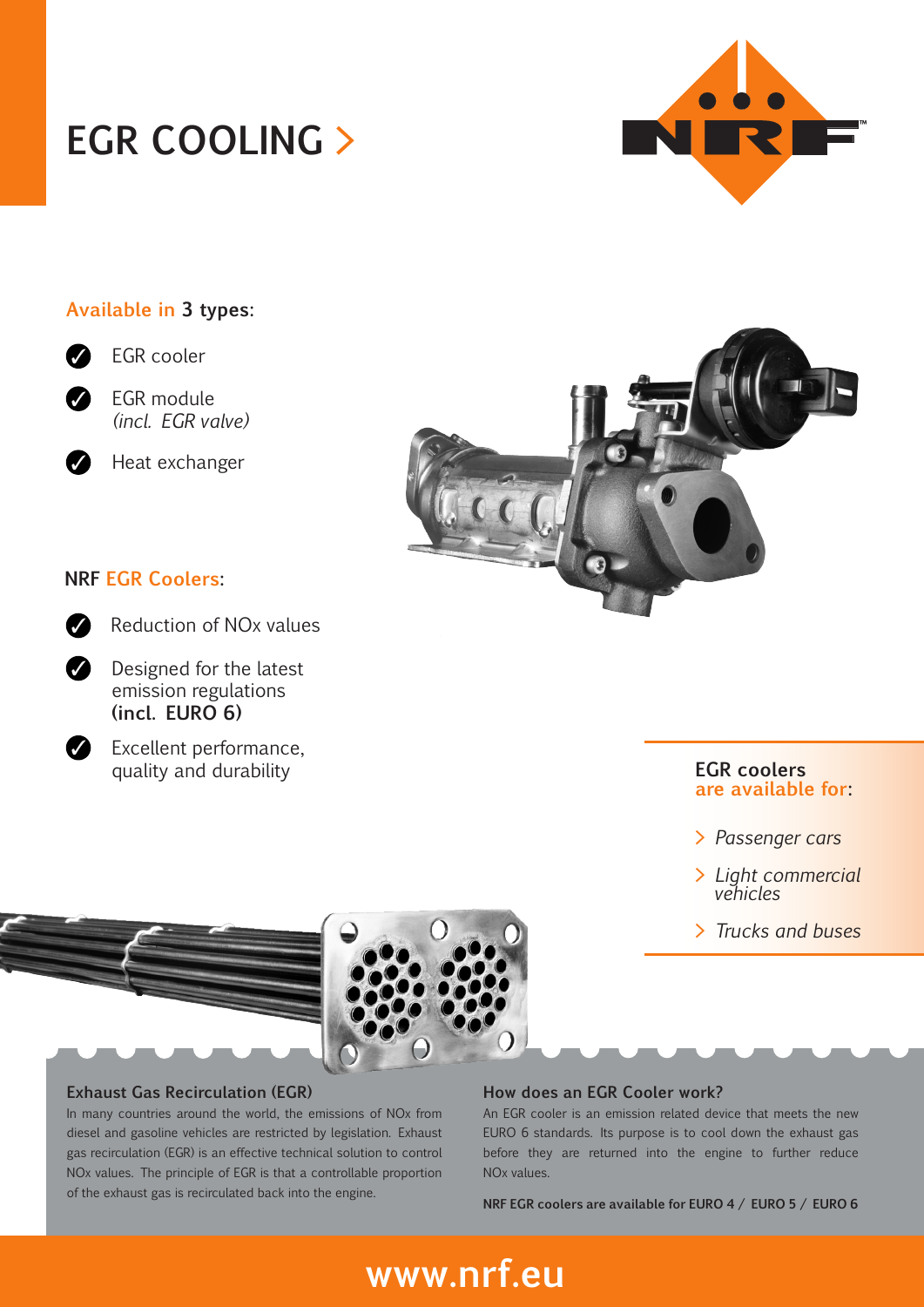# **EGR COOLING >**

### **Available in 3 types:**



EGR cooler



✓

EGR module *(incl. EGR valve)*

Heat exchanger

### **NRF EGR Coolers:**

| ۰.<br>۰.<br>ł<br>۰,<br>×<br>۰.<br>. . |
|---------------------------------------|
|                                       |

Reduction of NOx values

✓ Designed for the latest emission regulations **(incl. EURO 6)**



Excellent performance, quality and durability



#### **EGR coolers are available for:**

- **>** *Passenger cars*
- **>** *Light commercial vehicles*
- **>** *Trucks and buses*



#### **Exhaust Gas Recirculation (EGR)**

In many countries around the world, the emissions of NOx from diesel and gasoline vehicles are restricted by legislation. Exhaust gas recirculation (EGR) is an effective technical solution to control NOx values. The principle of EGR is that a controllable proportion of the exhaust gas is recirculated back into the engine.

#### **How does an EGR Cooler work?**

An EGR cooler is an emission related device that meets the new EURO 6 standards. Its purpose is to cool down the exhaust gas before they are returned into the engine to further reduce NOx values.

**NRF EGR coolers are available for EURO 4 / EURO 5 / EURO 6**

## **www.nrf.eu**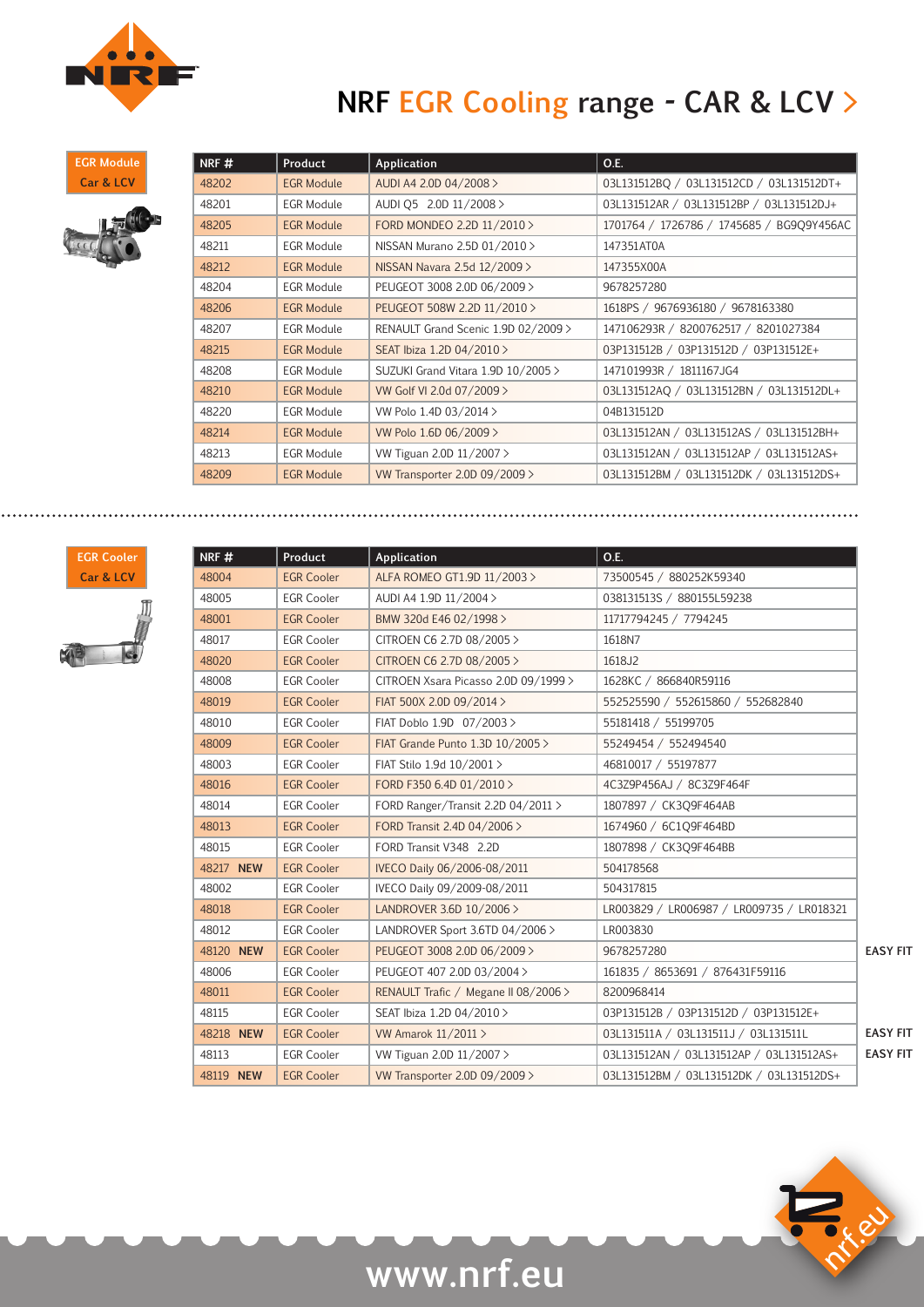

## **NRF EGR Cooling range - CAR & LCV >**

**EGR Module Car & LCV**



| NRF#  | Product           | Application                         | O.E.                                      |
|-------|-------------------|-------------------------------------|-------------------------------------------|
| 48202 | <b>EGR Module</b> | AUDI A4 2.0D 04/2008 >              | 03L131512BQ / 03L131512CD / 03L131512DT+  |
| 48201 | <b>EGR Module</b> | AUDI Q5 2.0D 11/2008 >              | 03L131512AR / 03L131512BP / 03L131512DJ+  |
| 48205 | <b>EGR Module</b> | FORD MONDEO 2.2D 11/2010 >          | 1701764 / 1726786 / 1745685 / BG9Q9Y456AC |
| 48211 | <b>EGR Module</b> | NISSAN Murano 2.5D 01/2010 >        | 147351AT0A                                |
| 48212 | <b>EGR Module</b> | NISSAN Navara 2.5d 12/2009 >        | 147355X00A                                |
| 48204 | EGR Module        | PEUGEOT 3008 2.0D 06/2009 >         | 9678257280                                |
| 48206 | <b>EGR Module</b> | PEUGEOT 508W 2.2D 11/2010 >         | 1618PS / 9676936180 / 9678163380          |
| 48207 | <b>EGR Module</b> | RENAULT Grand Scenic 1.9D 02/2009 > | 147106293R / 8200762517 / 8201027384      |
| 48215 | <b>EGR Module</b> | SEAT Ibiza 1.2D 04/2010 >           | 03P131512B / 03P131512D / 03P131512E+     |
| 48208 | <b>EGR Module</b> | SUZUKI Grand Vitara 1.9D 10/2005 >  | 147101993R / 1811167JG4                   |
| 48210 | <b>EGR Module</b> | VW Golf VI 2.0d 07/2009 >           | 03L131512AQ / 03L131512BN / 03L131512DL+  |
| 48220 | <b>EGR Module</b> | VW Polo 1.4D 03/2014 >              | 04B131512D                                |
| 48214 | <b>EGR Module</b> | VW Polo 1.6D 06/2009 >              | 03L131512AN / 03L131512AS / 03L131512BH+  |
| 48213 | <b>EGR Module</b> | VW Tiguan 2.0D 11/2007 >            | 03L131512AN / 03L131512AP / 03L131512AS+  |
| 48209 | <b>EGR Module</b> | VW Transporter 2.0D 09/2009 >       | 03L131512BM / 03L131512DK / 03L131512DS+  |



| NRF#      | Product           | Application                          | O.E.                                      |                 |
|-----------|-------------------|--------------------------------------|-------------------------------------------|-----------------|
| 48004     | <b>EGR Cooler</b> | ALFA ROMEO GT1.9D 11/2003>           | 73500545 / 880252K59340                   |                 |
| 48005     | <b>EGR Cooler</b> | AUDI A4 1.9D 11/2004 >               | 038131513S / 880155L59238                 |                 |
| 48001     | <b>EGR Cooler</b> | BMW 320d E46 02/1998 >               | 11717794245 / 7794245                     |                 |
| 48017     | <b>EGR Cooler</b> | CITROEN C6 2.7D 08/2005 >            | 1618N7                                    |                 |
| 48020     | <b>EGR Cooler</b> | CITROEN C6 2.7D 08/2005 >            | 1618J2                                    |                 |
| 48008     | <b>EGR Cooler</b> | CITROEN Xsara Picasso 2.0D 09/1999 > | 1628KC / 866840R59116                     |                 |
| 48019     | <b>EGR Cooler</b> | FIAT 500X 2.0D 09/2014 >             | 552525590 / 552615860 / 552682840         |                 |
| 48010     | <b>EGR Cooler</b> | FIAT Doblo 1.9D 07/2003>             | 55181418 / 55199705                       |                 |
| 48009     | <b>EGR Cooler</b> | FIAT Grande Punto 1.3D 10/2005 >     | 55249454 / 552494540                      |                 |
| 48003     | <b>EGR Cooler</b> | FIAT Stilo 1.9d 10/2001 >            | 46810017 / 55197877                       |                 |
| 48016     | <b>EGR Cooler</b> | FORD F350 6.4D 01/2010 >             | 4C3Z9P456AJ / 8C3Z9F464F                  |                 |
| 48014     | <b>EGR Cooler</b> | FORD Ranger/Transit 2.2D 04/2011 >   | 1807897 / CK3O9F464AB                     |                 |
| 48013     | <b>EGR Cooler</b> | FORD Transit 2.4D 04/2006 >          | 1674960 / 6C1Q9F464BD                     |                 |
| 48015     | <b>EGR Cooler</b> | FORD Transit V348 2.2D               | 1807898 / CK3Q9F464BB                     |                 |
| 48217 NEW | <b>EGR Cooler</b> | IVECO Daily 06/2006-08/2011          | 504178568                                 |                 |
| 48002     | <b>EGR Cooler</b> | IVECO Daily 09/2009-08/2011          | 504317815                                 |                 |
| 48018     | <b>EGR Cooler</b> | LANDROVER 3.6D 10/2006 >             | LR003829 / LR006987 / LR009735 / LR018321 |                 |
| 48012     | <b>EGR Cooler</b> | LANDROVER Sport 3.6TD 04/2006 >      | LR003830                                  |                 |
| 48120 NEW | <b>EGR Cooler</b> | PEUGEOT 3008 2.0D 06/2009 >          | 9678257280                                | <b>EASY FIT</b> |
| 48006     | <b>EGR Cooler</b> | PEUGEOT 407 2.0D 03/2004 >           | 161835 / 8653691 / 876431F59116           |                 |
| 48011     | <b>EGR Cooler</b> | RENAULT Trafic / Megane II 08/2006 > | 8200968414                                |                 |
| 48115     | <b>EGR Cooler</b> | SEAT Ibiza 1.2D 04/2010 >            | 03P131512B / 03P131512D / 03P131512E+     |                 |
| 48218 NEW | <b>EGR Cooler</b> | VW Amarok 11/2011 >                  | 03L131511A / 03L131511J / 03L131511L      | <b>EASY FIT</b> |
| 48113     | <b>EGR Cooler</b> | VW Tiguan 2.0D 11/2007 >             | 03L131512AN / 03L131512AP / 03L131512AS+  | <b>EASY FIT</b> |
| 48119 NEW | <b>EGR Cooler</b> | VW Transporter 2.0D 09/2009 >        | 03L131512BM / 03L131512DK / 03L131512DS+  |                 |

nr.eu

# **www.nrf.eu**